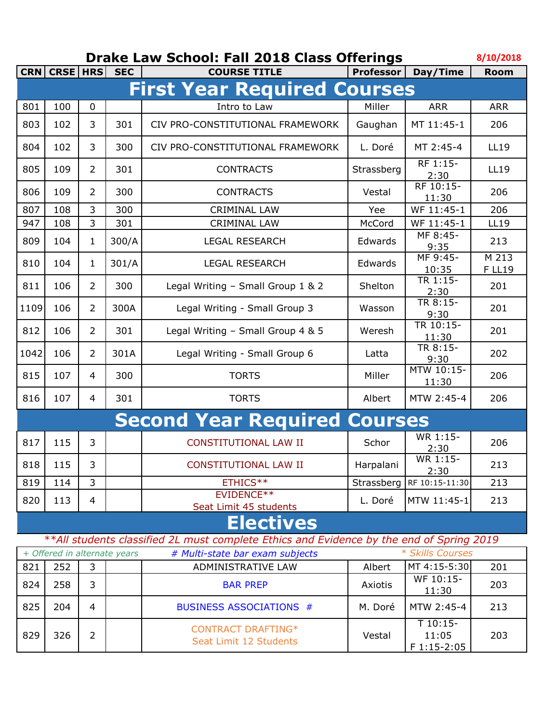## **8/10/2018 Drake Law School: Fall 2018 Class Offerings**

|                                    | CRN CRSE HRS |                | <b>SEC</b>                   | <b>COURSE TITLE</b>                                                                      | <b>Professor</b> | Day/Time                            | <b>Room</b>            |  |
|------------------------------------|--------------|----------------|------------------------------|------------------------------------------------------------------------------------------|------------------|-------------------------------------|------------------------|--|
| <b>First Year Required Courses</b> |              |                |                              |                                                                                          |                  |                                     |                        |  |
| 801                                | 100          | 0              |                              | Intro to Law                                                                             | Miller           | <b>ARR</b>                          | <b>ARR</b>             |  |
| 803                                | 102          | 3              | 301                          | CIV PRO-CONSTITUTIONAL FRAMEWORK                                                         | Gaughan          | MT 11:45-1                          | 206                    |  |
| 804                                | 102          | 3              | 300                          | CIV PRO-CONSTITUTIONAL FRAMEWORK                                                         | L. Doré          | MT 2:45-4                           | <b>LL19</b>            |  |
| 805                                | 109          | $\overline{2}$ | 301                          | <b>CONTRACTS</b>                                                                         | Strassberg       | RF 1:15-<br>2:30                    | <b>LL19</b>            |  |
| 806                                | 109          | $\overline{2}$ | 300                          | <b>CONTRACTS</b>                                                                         | Vestal           | RF 10:15-<br>11:30                  | 206                    |  |
| 807                                | 108          | 3              | 300                          | <b>CRIMINAL LAW</b>                                                                      | Yee              | WF 11:45-1                          | 206                    |  |
| 947                                | 108          | 3              | 301                          | <b>CRIMINAL LAW</b>                                                                      | McCord           | WF 11:45-1                          | <b>LL19</b>            |  |
| 809                                | 104          | 1              | 300/A                        | <b>LEGAL RESEARCH</b>                                                                    | Edwards          | MF 8:45-<br>9:35                    | 213                    |  |
| 810                                | 104          | 1              | 301/A                        | <b>LEGAL RESEARCH</b>                                                                    | Edwards          | MF 9:45-<br>10:35                   | M 213<br><b>F LL19</b> |  |
| 811                                | 106          | $\overline{2}$ | 300                          | Legal Writing - Small Group 1 & 2                                                        | Shelton          | TR 1:15-<br>2:30                    | 201                    |  |
| 1109                               | 106          | 2              | 300A                         | Legal Writing - Small Group 3                                                            | Wasson           | TR 8:15-<br>9:30                    | 201                    |  |
| 812                                | 106          | $\overline{2}$ | 301                          | Legal Writing - Small Group 4 & 5                                                        | Weresh           | TR 10:15-<br>11:30                  | 201                    |  |
| 1042                               | 106          | $\overline{2}$ | 301A                         | Legal Writing - Small Group 6                                                            | Latta            | TR 8:15-<br>9:30                    | 202                    |  |
| 815                                | 107          | 4              | 300                          | <b>TORTS</b>                                                                             | Miller           | MTW 10:15-<br>11:30                 | 206                    |  |
| 816                                | 107          | 4              | 301                          | <b>TORTS</b>                                                                             | Albert           | MTW 2:45-4                          | 206                    |  |
|                                    |              |                |                              | <b>Second Year Required Courses</b>                                                      |                  |                                     |                        |  |
| 817                                | 115          | 3              |                              | <b>CONSTITUTIONAL LAW II</b>                                                             | Schor            | WR 1:15-<br>2:30                    | 206                    |  |
| 818                                | 115          | 3              |                              | CONSTITUTIONAL LAW II                                                                    | Harpalani        | WR 1:15-<br>2:30                    | 213                    |  |
| 819                                | 114          | 3              |                              | ETHICS**                                                                                 | Strassberg       | RF 10:15-11:30                      | 213                    |  |
| 820                                | 113          | $\overline{4}$ |                              | EVIDENCE**<br>Seat Limit 45 students                                                     | L. Doré          | MTW 11:45-1                         | 213                    |  |
|                                    |              |                |                              | <b>Electives</b>                                                                         |                  |                                     |                        |  |
|                                    |              |                |                              | **All students classified 2L must complete Ethics and Evidence by the end of Spring 2019 |                  |                                     |                        |  |
|                                    |              |                | + Offered in alternate years | # Multi-state bar exam subjects                                                          |                  | * Skills Courses                    |                        |  |
| 821                                | 252          | $\overline{3}$ |                              | ADMINISTRATIVE LAW                                                                       | Albert           | MT 4:15-5:30                        | 201                    |  |
| 824                                | 258          | 3              |                              | <b>BAR PREP</b>                                                                          | Axiotis          | WF 10:15-<br>11:30                  | 203                    |  |
| 825                                | 204          | 4              |                              | <b>BUSINESS ASSOCIATIONS #</b>                                                           | M. Doré          | MTW 2:45-4                          | 213                    |  |
| 829                                | 326          | $\overline{2}$ |                              | <b>CONTRACT DRAFTING*</b><br>Seat Limit 12 Students                                      | Vestal           | $T10:15-$<br>11:05<br>$F 1:15-2:05$ | 203                    |  |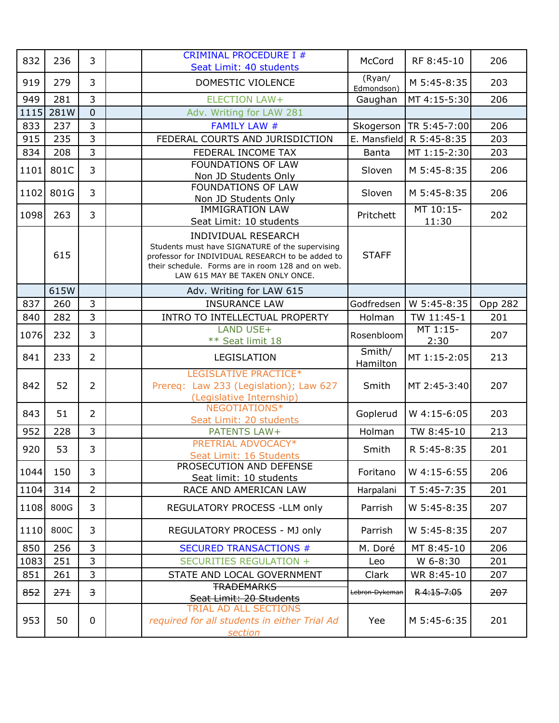| 832  | 236  | 3                       | <b>CRIMINAL PROCEDURE I #</b><br>Seat Limit: 40 students                                                                                                                                                                  | McCord               | RF 8:45-10         | 206     |
|------|------|-------------------------|---------------------------------------------------------------------------------------------------------------------------------------------------------------------------------------------------------------------------|----------------------|--------------------|---------|
| 919  | 279  | $\overline{3}$          | DOMESTIC VIOLENCE                                                                                                                                                                                                         | (Ryan/<br>Edmondson) | M 5:45-8:35        | 203     |
| 949  | 281  | $\overline{3}$          | <b>ELECTION LAW+</b>                                                                                                                                                                                                      | Gaughan              | MT 4:15-5:30       | 206     |
| 1115 | 281W | $\overline{0}$          | Adv. Writing for LAW 281                                                                                                                                                                                                  |                      |                    |         |
| 833  | 237  | 3                       | <b>FAMILY LAW #</b>                                                                                                                                                                                                       | Skogerson            | TR 5:45-7:00       | 206     |
| 915  | 235  | $\overline{3}$          | FEDERAL COURTS AND JURISDICTION                                                                                                                                                                                           | E. Mansfield         | R 5:45-8:35        | 203     |
| 834  | 208  | $\overline{3}$          | FEDERAL INCOME TAX                                                                                                                                                                                                        | Banta                | MT 1:15-2:30       | 203     |
| 1101 | 801C | 3                       | <b>FOUNDATIONS OF LAW</b><br>Non JD Students Only                                                                                                                                                                         | Sloven               | M 5:45-8:35        | 206     |
| 1102 | 801G | 3                       | <b>FOUNDATIONS OF LAW</b><br>Non JD Students Only                                                                                                                                                                         | Sloven               | M 5:45-8:35        | 206     |
| 1098 | 263  | 3                       | <b>IMMIGRATION LAW</b><br>Seat Limit: 10 students                                                                                                                                                                         | Pritchett            | MT 10:15-<br>11:30 | 202     |
|      | 615  |                         | <b>INDIVIDUAL RESEARCH</b><br>Students must have SIGNATURE of the supervising<br>professor for INDIVIDUAL RESEARCH to be added to<br>their schedule. Forms are in room 128 and on web.<br>LAW 615 MAY BE TAKEN ONLY ONCE. | <b>STAFF</b>         |                    |         |
|      | 615W |                         | Adv. Writing for LAW 615                                                                                                                                                                                                  |                      |                    |         |
| 837  | 260  | 3                       | <b>INSURANCE LAW</b>                                                                                                                                                                                                      | Godfredsen           | W 5:45-8:35        | Opp 282 |
| 840  | 282  | 3                       | INTRO TO INTELLECTUAL PROPERTY                                                                                                                                                                                            | Holman               | TW 11:45-1         | 201     |
| 1076 | 232  | 3                       | LAND USE+<br>** Seat limit 18                                                                                                                                                                                             | Rosenbloom           | MT 1:15-<br>2:30   | 207     |
| 841  | 233  | $\overline{2}$          | LEGISLATION                                                                                                                                                                                                               | Smith/<br>Hamilton   | MT 1:15-2:05       | 213     |
| 842  | 52   | $\overline{2}$          | LEGISLATIVE PRACTICE*<br>Prereq: Law 233 (Legislation); Law 627<br>(Legislative Internship)                                                                                                                               | Smith                | MT 2:45-3:40       | 207     |
| 843  | 51   | $\overline{2}$          | NEGOTIATIONS*<br>Seat Limit: 20 students                                                                                                                                                                                  | Goplerud             | W 4:15-6:05        | 203     |
| 952  | 228  | $\overline{3}$          | <b>PATENTS LAW+</b>                                                                                                                                                                                                       | Holman               | TW 8:45-10         | 213     |
| 920  | 53   | 3                       | PRETRIAL ADVOCACY*<br>Seat Limit: 16 Students                                                                                                                                                                             | Smith                | R 5:45-8:35        | 201     |
| 1044 | 150  | 3                       | PROSECUTION AND DEFENSE<br>Seat limit: 10 students                                                                                                                                                                        | Foritano             | W 4:15-6:55        | 206     |
| 1104 | 314  | $\overline{2}$          | RACE AND AMERICAN LAW                                                                                                                                                                                                     | Harpalani            | T 5:45-7:35        | 201     |
| 1108 | 800G | 3                       | REGULATORY PROCESS - LLM only                                                                                                                                                                                             | Parrish              | W 5:45-8:35        | 207     |
| 1110 | 800C | 3                       | REGULATORY PROCESS - MJ only                                                                                                                                                                                              | Parrish              | W 5:45-8:35        | 207     |
| 850  | 256  | 3                       | <b>SECURED TRANSACTIONS #</b>                                                                                                                                                                                             | M. Doré              | MT 8:45-10         | 206     |
| 1083 | 251  | $\overline{3}$          | <b>SECURITIES REGULATION +</b>                                                                                                                                                                                            | Leo                  | W 6-8:30           | 201     |
| 851  | 261  | $\overline{3}$          | STATE AND LOCAL GOVERNMENT                                                                                                                                                                                                | Clark                | WR 8:45-10         | 207     |
| 852  | 271  | $\overline{\mathbf{3}}$ | <b>TRADEMARKS</b>                                                                                                                                                                                                         | Lebron-Dykeman       | R4:15-7:05         | 207     |
|      |      |                         | Seat Limit: 20 Students<br>TRIAL AD ALL SECTIONS                                                                                                                                                                          |                      |                    |         |
| 953  | 50   | $\mathbf 0$             | required for all students in either Trial Ad<br>section                                                                                                                                                                   | Yee                  | M 5:45-6:35        | 201     |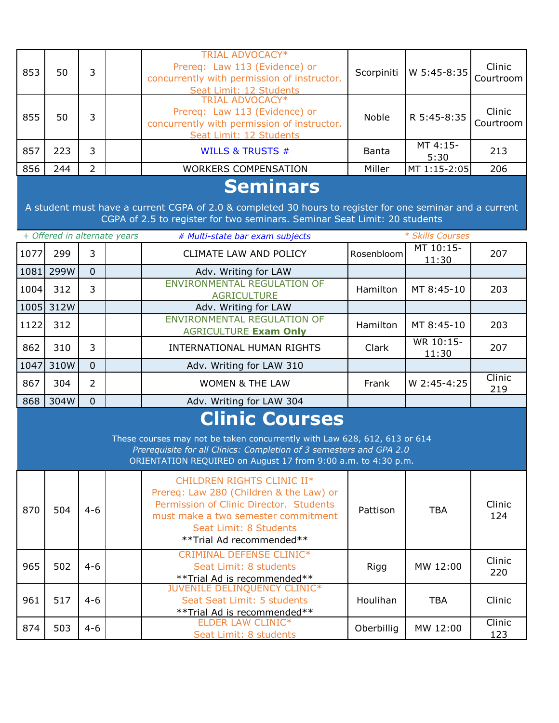| 853                                                                                                                                                                                                                                        | 50        | 3              |                              | <b>TRIAL ADVOCACY*</b><br>Prereq: Law 113 (Evidence) or<br>concurrently with permission of instructor.<br>Seat Limit: 12 Students<br>TRIAL ADVOCACY*                                                          | Scorpiniti   | W 5:45-8:35        | Clinic<br>Courtroom |  |
|--------------------------------------------------------------------------------------------------------------------------------------------------------------------------------------------------------------------------------------------|-----------|----------------|------------------------------|---------------------------------------------------------------------------------------------------------------------------------------------------------------------------------------------------------------|--------------|--------------------|---------------------|--|
| 855                                                                                                                                                                                                                                        | 50        | 3              |                              | Prereq: Law 113 (Evidence) or<br>concurrently with permission of instructor.<br>Seat Limit: 12 Students                                                                                                       | Noble        | R 5:45-8:35        | Clinic<br>Courtroom |  |
| 857                                                                                                                                                                                                                                        | 223       | 3              |                              | <b>WILLS &amp; TRUSTS #</b>                                                                                                                                                                                   | <b>Banta</b> | MT 4:15-<br>5:30   | 213                 |  |
| 856                                                                                                                                                                                                                                        | 244       | $\overline{2}$ |                              | <b>WORKERS COMPENSATION</b>                                                                                                                                                                                   | Miller       | MT 1:15-2:05       | 206                 |  |
| <b>Seminars</b><br>A student must have a current CGPA of 2.0 & completed 30 hours to register for one seminar and a current<br>CGPA of 2.5 to register for two seminars. Seminar Seat Limit: 20 students                                   |           |                |                              |                                                                                                                                                                                                               |              |                    |                     |  |
|                                                                                                                                                                                                                                            |           |                | + Offered in alternate years | # Multi-state bar exam subjects                                                                                                                                                                               |              | * Skills Courses   |                     |  |
| 1077                                                                                                                                                                                                                                       | 299       | 3              |                              | CLIMATE LAW AND POLICY                                                                                                                                                                                        | Rosenbloom   | MT 10:15-<br>11:30 | 207                 |  |
| 1081                                                                                                                                                                                                                                       | 299W      | $\Omega$       |                              | Adv. Writing for LAW                                                                                                                                                                                          |              |                    |                     |  |
| 1004                                                                                                                                                                                                                                       | 312       | 3              |                              | <b>ENVIRONMENTAL REGULATION OF</b><br><b>AGRICULTURE</b>                                                                                                                                                      | Hamilton     | MT 8:45-10         | 203                 |  |
|                                                                                                                                                                                                                                            | 1005 312W |                |                              | Adv. Writing for LAW                                                                                                                                                                                          |              |                    |                     |  |
| 1122                                                                                                                                                                                                                                       | 312       |                |                              | <b>ENVIRONMENTAL REGULATION OF</b><br><b>AGRICULTURE Exam Only</b>                                                                                                                                            | Hamilton     | MT 8:45-10         | 203                 |  |
| 862                                                                                                                                                                                                                                        | 310       | 3              |                              | INTERNATIONAL HUMAN RIGHTS                                                                                                                                                                                    | Clark        | WR 10:15-<br>11:30 | 207                 |  |
| 1047                                                                                                                                                                                                                                       | 310W      | $\overline{0}$ |                              | Adv. Writing for LAW 310                                                                                                                                                                                      |              |                    |                     |  |
| 867                                                                                                                                                                                                                                        | 304       | $\overline{2}$ |                              | <b>WOMEN &amp; THE LAW</b>                                                                                                                                                                                    | Frank        | W 2:45-4:25        | Clinic<br>219       |  |
| 868                                                                                                                                                                                                                                        | 304W      | $\overline{0}$ |                              | Adv. Writing for LAW 304                                                                                                                                                                                      |              |                    |                     |  |
| <b>Clinic Courses</b><br>These courses may not be taken concurrently with Law 628, 612, 613 or 614<br>Prerequisite for all Clinics: Completion of 3 semesters and GPA 2.0<br>ORIENTATION REQUIRED on August 17 from 9:00 a.m. to 4:30 p.m. |           |                |                              |                                                                                                                                                                                                               |              |                    |                     |  |
| 870                                                                                                                                                                                                                                        | 504       | $4 - 6$        |                              | CHILDREN RIGHTS CLINIC II*<br>Prereq: Law 280 (Children & the Law) or<br>Permission of Clinic Director. Students<br>must make a two semester commitment<br>Seat Limit: 8 Students<br>**Trial Ad recommended** | Pattison     | <b>TBA</b>         | Clinic<br>124       |  |
| 965                                                                                                                                                                                                                                        | 502       | $4 - 6$        |                              | <b>CRIMINAL DEFENSE CLINIC*</b><br>Seat Limit: 8 students<br>** Trial Ad is recommended**                                                                                                                     | Rigg         | MW 12:00           | Clinic<br>220       |  |
| 961                                                                                                                                                                                                                                        | 517       | $4 - 6$        |                              | JUVENILE DELINQUENCY CLINIC*<br>Seat Seat Limit: 5 students<br>** Trial Ad is recommended**                                                                                                                   | Houlihan     | <b>TBA</b>         | Clinic              |  |

 $\begin{array}{|c|c|c|c|c|}\n\hline\n874 & 503 & 4-6 & \text{ELDER LAW CLINIC*} \\
\hline\n874 & 503 & 4-6 & \text{Clinic} \\
& & & & & \text{Seat Limit: 8 students} \\
\hline\n\end{array}$  Oberbillig MW 12:00  $\begin{array}{|c|c|c|c|}\n\hline\n& & & \text{Clinic} \\
\hline\n123 & & & \text{Clinic} \\
\hline\n& & & \text{Sreat Limit: 8 students} \\
\hline\n\end{array}$ 

123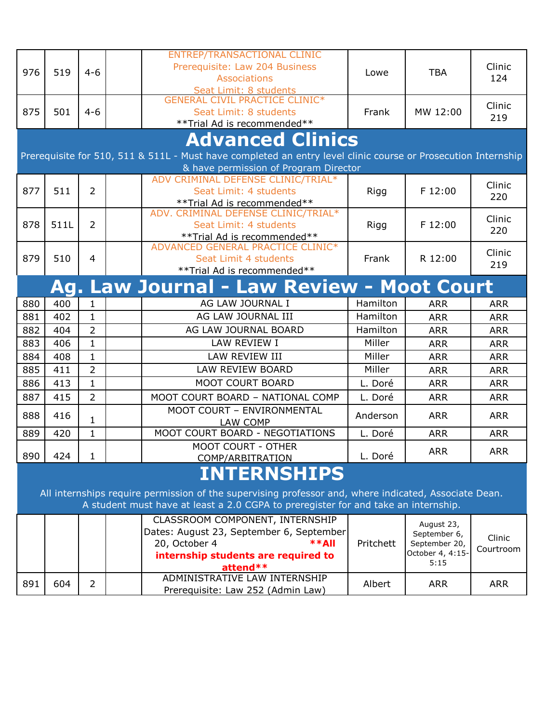| 976                                              | 519                                                                                                           | $4 - 6$        |  | ENTREP/TRANSACTIONAL CLINIC<br>Prerequisite: Law 204 Business<br><b>Associations</b>                                      | Lowe      | <b>TBA</b>               | Clinic<br>124 |  |  |  |
|--------------------------------------------------|---------------------------------------------------------------------------------------------------------------|----------------|--|---------------------------------------------------------------------------------------------------------------------------|-----------|--------------------------|---------------|--|--|--|
| 875                                              | 501                                                                                                           | $4 - 6$        |  | Seat Limit: 8 students<br><b>GENERAL CIVIL PRACTICE CLINIC*</b><br>Seat Limit: 8 students<br>** Trial Ad is recommended** | Frank     | MW 12:00                 | Clinic<br>219 |  |  |  |
|                                                  |                                                                                                               |                |  | <b>Advanced Clinics</b>                                                                                                   |           |                          |               |  |  |  |
|                                                  | Prerequisite for 510, 511 & 511L - Must have completed an entry level clinic course or Prosecution Internship |                |  |                                                                                                                           |           |                          |               |  |  |  |
| & have permission of Program Director            |                                                                                                               |                |  |                                                                                                                           |           |                          |               |  |  |  |
|                                                  |                                                                                                               |                |  | ADV CRIMINAL DEFENSE CLINIC/TRIAL*                                                                                        |           |                          |               |  |  |  |
| 877                                              | 511                                                                                                           | $\overline{2}$ |  | Seat Limit: 4 students                                                                                                    | Rigg      | F 12:00                  | Clinic        |  |  |  |
|                                                  |                                                                                                               |                |  | ** Trial Ad is recommended**                                                                                              |           |                          | 220           |  |  |  |
|                                                  |                                                                                                               |                |  | ADV. CRIMINAL DEFENSE CLINIC/TRIAL*                                                                                       |           |                          | Clinic        |  |  |  |
| 878                                              | 511L                                                                                                          | $\overline{2}$ |  | Seat Limit: 4 students                                                                                                    | Rigg      | F 12:00                  | 220           |  |  |  |
|                                                  |                                                                                                               |                |  | **Trial Ad is recommended**                                                                                               |           |                          |               |  |  |  |
|                                                  |                                                                                                               |                |  | ADVANCED GENERAL PRACTICE CLINIC*                                                                                         |           |                          | Clinic        |  |  |  |
| 879                                              | 510                                                                                                           | $\overline{4}$ |  | Seat Limit 4 students                                                                                                     | Frank     | R 12:00                  | 219           |  |  |  |
|                                                  |                                                                                                               |                |  | ** Trial Ad is recommended**                                                                                              |           |                          |               |  |  |  |
| <b>Ag. Law Journal - Law Review - Moot Court</b> |                                                                                                               |                |  |                                                                                                                           |           |                          |               |  |  |  |
| 880                                              | 400                                                                                                           | $\mathbf{1}$   |  | AG LAW JOURNAL I                                                                                                          | Hamilton  | <b>ARR</b>               | <b>ARR</b>    |  |  |  |
| 881                                              | 402                                                                                                           | 1              |  | AG LAW JOURNAL III                                                                                                        | Hamilton  | <b>ARR</b>               | <b>ARR</b>    |  |  |  |
| 882                                              | 404                                                                                                           | $\overline{2}$ |  | AG LAW JOURNAL BOARD                                                                                                      | Hamilton  | <b>ARR</b>               | <b>ARR</b>    |  |  |  |
| 883                                              | 406                                                                                                           | $\mathbf{1}$   |  | LAW REVIEW I                                                                                                              | Miller    | <b>ARR</b>               | <b>ARR</b>    |  |  |  |
| 884                                              | 408                                                                                                           | $\mathbf{1}$   |  | LAW REVIEW III                                                                                                            | Miller    | <b>ARR</b>               | <b>ARR</b>    |  |  |  |
| 885                                              | 411                                                                                                           | $\overline{2}$ |  | LAW REVIEW BOARD                                                                                                          | Miller    | <b>ARR</b>               | <b>ARR</b>    |  |  |  |
| 886                                              | 413                                                                                                           | $\mathbf{1}$   |  | MOOT COURT BOARD                                                                                                          | L. Doré   | <b>ARR</b>               | <b>ARR</b>    |  |  |  |
| 887                                              | 415                                                                                                           | $\overline{2}$ |  | MOOT COURT BOARD - NATIONAL COMP                                                                                          | L. Doré   | <b>ARR</b>               | <b>ARR</b>    |  |  |  |
|                                                  |                                                                                                               |                |  | MOOT COURT - ENVIRONMENTAL                                                                                                |           |                          |               |  |  |  |
| 888                                              | 416                                                                                                           | 1              |  | LAW COMP                                                                                                                  | Anderson  | <b>ARR</b>               | <b>ARR</b>    |  |  |  |
| 889                                              | 420                                                                                                           | $\mathbf{1}$   |  | MOOT COURT BOARD - NEGOTIATIONS                                                                                           | L. Doré   | <b>ARR</b>               | <b>ARR</b>    |  |  |  |
|                                                  |                                                                                                               |                |  | MOOT COURT - OTHER                                                                                                        |           | <b>ARR</b>               | <b>ARR</b>    |  |  |  |
| 890                                              | 424                                                                                                           | $\mathbf{1}$   |  | <b>COMP/ARBITRATION</b>                                                                                                   | L. Doré   |                          |               |  |  |  |
|                                                  |                                                                                                               |                |  | <b>INTERNSHIPS</b>                                                                                                        |           |                          |               |  |  |  |
|                                                  |                                                                                                               |                |  | All internships require permission of the supervising professor and, where indicated, Associate Dean.                     |           |                          |               |  |  |  |
|                                                  |                                                                                                               |                |  | A student must have at least a 2.0 CGPA to preregister for and take an internship.                                        |           |                          |               |  |  |  |
|                                                  |                                                                                                               |                |  | CLASSROOM COMPONENT, INTERNSHIP                                                                                           |           | August 23,               |               |  |  |  |
|                                                  |                                                                                                               |                |  | Dates: August 23, September 6, September                                                                                  |           | September 6,             | Clinic        |  |  |  |
|                                                  |                                                                                                               |                |  | $**$ All<br>20, October 4                                                                                                 | Pritchett | September 20,            | Courtroom     |  |  |  |
|                                                  |                                                                                                               |                |  | internship students are required to                                                                                       |           | October 4, 4:15-<br>5:15 |               |  |  |  |
|                                                  |                                                                                                               |                |  | attend**                                                                                                                  |           |                          |               |  |  |  |
| 891                                              | 604                                                                                                           | $\overline{2}$ |  | ADMINISTRATIVE LAW INTERNSHIP                                                                                             | Albert    | <b>ARR</b>               | <b>ARR</b>    |  |  |  |
|                                                  |                                                                                                               |                |  | Prerequisite: Law 252 (Admin Law)                                                                                         |           |                          |               |  |  |  |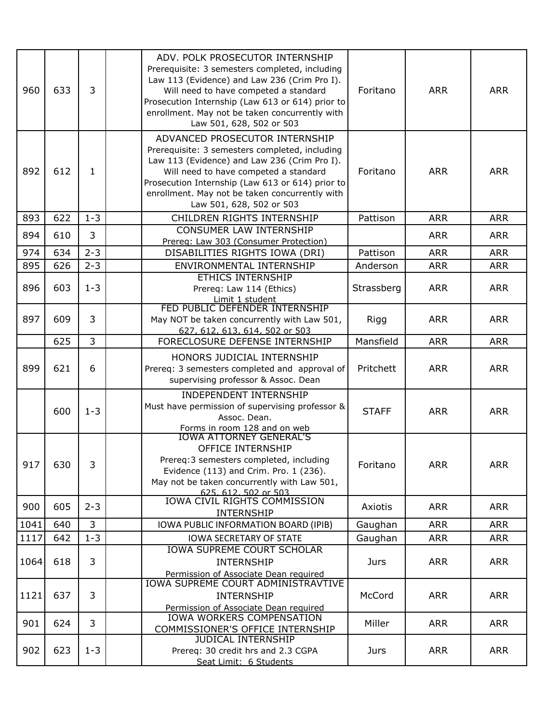| 960  | 633 | 3              | ADV. POLK PROSECUTOR INTERNSHIP<br>Prerequisite: 3 semesters completed, including<br>Law 113 (Evidence) and Law 236 (Crim Pro I).<br>Will need to have competed a standard<br>Prosecution Internship (Law 613 or 614) prior to<br>enrollment. May not be taken concurrently with<br>Law 501, 628, 502 or 503 | Foritano     | <b>ARR</b> | <b>ARR</b> |
|------|-----|----------------|--------------------------------------------------------------------------------------------------------------------------------------------------------------------------------------------------------------------------------------------------------------------------------------------------------------|--------------|------------|------------|
| 892  | 612 | 1              | ADVANCED PROSECUTOR INTERNSHIP<br>Prerequisite: 3 semesters completed, including<br>Law 113 (Evidence) and Law 236 (Crim Pro I).<br>Will need to have competed a standard<br>Prosecution Internship (Law 613 or 614) prior to<br>enrollment. May not be taken concurrently with<br>Law 501, 628, 502 or 503  | Foritano     | <b>ARR</b> | <b>ARR</b> |
| 893  | 622 | $1 - 3$        | CHILDREN RIGHTS INTERNSHIP                                                                                                                                                                                                                                                                                   | Pattison     | <b>ARR</b> | <b>ARR</b> |
| 894  | 610 | 3              | CONSUMER LAW INTERNSHIP<br>Prereq: Law 303 (Consumer Protection)                                                                                                                                                                                                                                             |              | <b>ARR</b> | <b>ARR</b> |
| 974  | 634 | $2 - 3$        | DISABILITIES RIGHTS IOWA (DRI)                                                                                                                                                                                                                                                                               | Pattison     | <b>ARR</b> | <b>ARR</b> |
| 895  | 626 | $2 - 3$        | ENVIRONMENTAL INTERNSHIP                                                                                                                                                                                                                                                                                     | Anderson     | <b>ARR</b> | <b>ARR</b> |
| 896  | 603 | $1 - 3$        | <b>ETHICS INTERNSHIP</b><br>Prereq: Law 114 (Ethics)<br>Limit 1 student                                                                                                                                                                                                                                      | Strassberg   | <b>ARR</b> | <b>ARR</b> |
| 897  | 609 | 3              | FED PUBLIC DEFENDER INTERNSHIP<br>May NOT be taken concurrently with Law 501,<br>627, 612, 613, 614, 502 or 503                                                                                                                                                                                              | Rigg         | <b>ARR</b> | <b>ARR</b> |
|      | 625 | 3              | FORECLOSURE DEFENSE INTERNSHIP                                                                                                                                                                                                                                                                               | Mansfield    | <b>ARR</b> | <b>ARR</b> |
| 899  | 621 | 6              | HONORS JUDICIAL INTERNSHIP<br>Prereq: 3 semesters completed and approval of<br>supervising professor & Assoc. Dean                                                                                                                                                                                           | Pritchett    | <b>ARR</b> | <b>ARR</b> |
|      | 600 | $1 - 3$        | <b>INDEPENDENT INTERNSHIP</b><br>Must have permission of supervising professor &<br>Assoc. Dean.<br>Forms in room 128 and on web                                                                                                                                                                             | <b>STAFF</b> | <b>ARR</b> | <b>ARR</b> |
| 917  | 630 | 3              | <b>IOWA ATTORNEY GENERAL'S</b><br><b>OFFICE INTERNSHIP</b><br>Prereq: 3 semesters completed, including<br>Evidence (113) and Crim. Pro. 1 (236).<br>May not be taken concurrently with Law 501,<br>625, 612, 502 or 503                                                                                      | Foritano     | <b>ARR</b> | <b>ARR</b> |
| 900  | 605 | $2 - 3$        | IOWA CIVIL RIGHTS COMMISSION<br><b>INTERNSHIP</b>                                                                                                                                                                                                                                                            | Axiotis      | <b>ARR</b> | <b>ARR</b> |
| 1041 | 640 | $\overline{3}$ | IOWA PUBLIC INFORMATION BOARD (IPIB)                                                                                                                                                                                                                                                                         | Gaughan      | <b>ARR</b> | <b>ARR</b> |
| 1117 | 642 | $1 - 3$        | <b>IOWA SECRETARY OF STATE</b>                                                                                                                                                                                                                                                                               | Gaughan      | <b>ARR</b> | <b>ARR</b> |
| 1064 | 618 | 3              | <b>IOWA SUPREME COURT SCHOLAR</b><br><b>INTERNSHIP</b><br>Permission of Associate Dean required                                                                                                                                                                                                              | <b>Jurs</b>  | <b>ARR</b> | <b>ARR</b> |
| 1121 | 637 | 3              | <b>IOWA SUPREME COURT ADMINISTRAVTIVE</b><br><b>INTERNSHIP</b><br>Permission of Associate Dean required                                                                                                                                                                                                      | McCord       | <b>ARR</b> | <b>ARR</b> |
| 901  | 624 | 3              | IOWA WORKERS COMPENSATION<br>COMMISSIONER'S OFFICE INTERNSHIP                                                                                                                                                                                                                                                | Miller       | <b>ARR</b> | <b>ARR</b> |
| 902  | 623 | $1 - 3$        | <b>JUDICAL INTERNSHIP</b><br>Prereq: 30 credit hrs and 2.3 CGPA<br>Seat Limit: 6 Students                                                                                                                                                                                                                    | Jurs         | <b>ARR</b> | <b>ARR</b> |